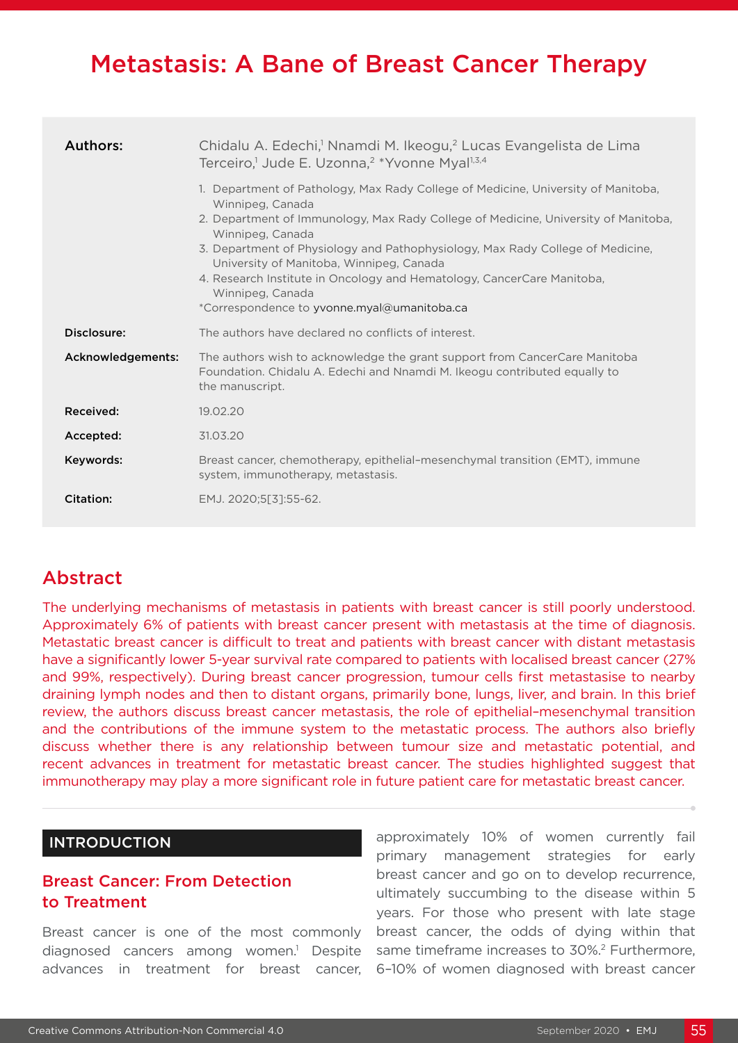# Metastasis: A Bane of Breast Cancer Therapy

| <b>Authors:</b>   | Chidalu A. Edechi, <sup>1</sup> Nnamdi M. Ikeogu, <sup>2</sup> Lucas Evangelista de Lima<br>Terceiro, <sup>1</sup> Jude E. Uzonna, <sup>2</sup> *Yvonne Myal <sup>1,3,4</sup>                                                                                                                                                                                                                                                                                                              |  |  |
|-------------------|--------------------------------------------------------------------------------------------------------------------------------------------------------------------------------------------------------------------------------------------------------------------------------------------------------------------------------------------------------------------------------------------------------------------------------------------------------------------------------------------|--|--|
|                   | 1. Department of Pathology, Max Rady College of Medicine, University of Manitoba,<br>Winnipeg, Canada<br>2. Department of Immunology, Max Rady College of Medicine, University of Manitoba,<br>Winnipeg, Canada<br>3. Department of Physiology and Pathophysiology, Max Rady College of Medicine,<br>University of Manitoba, Winnipeg, Canada<br>4. Research Institute in Oncology and Hematology, CancerCare Manitoba,<br>Winnipeg, Canada<br>*Correspondence to yvonne.myal@umanitoba.ca |  |  |
| Disclosure:       | The authors have declared no conflicts of interest.                                                                                                                                                                                                                                                                                                                                                                                                                                        |  |  |
| Acknowledgements: | The authors wish to acknowledge the grant support from CancerCare Manitoba<br>Foundation. Chidalu A. Edechi and Nnamdi M. Ikeogu contributed equally to<br>the manuscript.                                                                                                                                                                                                                                                                                                                 |  |  |
| Received:         | 19.02.20                                                                                                                                                                                                                                                                                                                                                                                                                                                                                   |  |  |
| Accepted:         | 31.03.20                                                                                                                                                                                                                                                                                                                                                                                                                                                                                   |  |  |
| Keywords:         | Breast cancer, chemotherapy, epithelial-mesenchymal transition (EMT), immune<br>system, immunotherapy, metastasis.                                                                                                                                                                                                                                                                                                                                                                         |  |  |
| Citation:         | EMJ. 2020;5[3]:55-62.                                                                                                                                                                                                                                                                                                                                                                                                                                                                      |  |  |

# **Abstract**

The underlying mechanisms of metastasis in patients with breast cancer is still poorly understood. Approximately 6% of patients with breast cancer present with metastasis at the time of diagnosis. Metastatic breast cancer is difficult to treat and patients with breast cancer with distant metastasis have a significantly lower 5-year survival rate compared to patients with localised breast cancer (27% and 99%, respectively). During breast cancer progression, tumour cells first metastasise to nearby draining lymph nodes and then to distant organs, primarily bone, lungs, liver, and brain. In this brief review, the authors discuss breast cancer metastasis, the role of epithelial–mesenchymal transition and the contributions of the immune system to the metastatic process. The authors also briefly discuss whether there is any relationship between tumour size and metastatic potential, and recent advances in treatment for metastatic breast cancer. The studies highlighted suggest that immunotherapy may play a more significant role in future patient care for metastatic breast cancer.

## INTRODUCTION

# Breast Cancer: From Detection to Treatment

Breast cancer is one of the most commonly diagnosed cancers among women.<sup>1</sup> Despite advances in treatment for breast cancer,

approximately 10% of women currently fail primary management strategies for early breast cancer and go on to develop recurrence, ultimately succumbing to the disease within 5 years. For those who present with late stage breast cancer, the odds of dying within that same timeframe increases to 30%.2 Furthermore, 6–10% of women diagnosed with breast cancer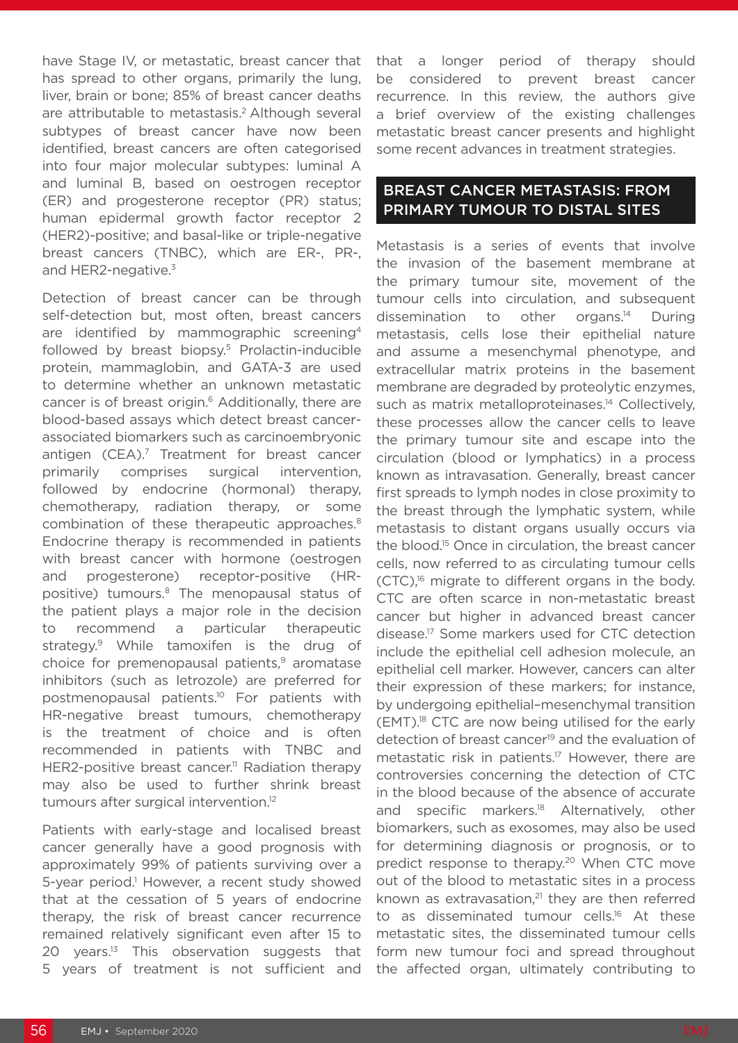have Stage IV, or metastatic, breast cancer that has spread to other organs, primarily the lung, liver, brain or bone; 85% of breast cancer deaths are attributable to metastasis.<sup>2</sup> Although several subtypes of breast cancer have now been identified, breast cancers are often categorised into four major molecular subtypes: luminal A and luminal B, based on oestrogen receptor (ER) and progesterone receptor (PR) status; human epidermal growth factor receptor 2 (HER2)-positive; and basal-like or triple-negative breast cancers (TNBC), which are ER-, PR-, and HER2-negative.<sup>3</sup>

Detection of breast cancer can be through self-detection but, most often, breast cancers are identified by mammographic screening4 followed by breast biopsy.<sup>5</sup> Prolactin-inducible protein, mammaglobin, and GATA-3 are used to determine whether an unknown metastatic cancer is of breast origin.6 Additionally, there are blood-based assays which detect breast cancerassociated biomarkers such as carcinoembryonic antigen (CEA).<sup>7</sup> Treatment for breast cancer primarily comprises surgical intervention, followed by endocrine (hormonal) therapy, chemotherapy, radiation therapy, or some combination of these therapeutic approaches.<sup>8</sup> Endocrine therapy is recommended in patients with breast cancer with hormone (oestrogen and progesterone) receptor-positive (HRpositive) tumours.<sup>8</sup> The menopausal status of the patient plays a major role in the decision recommend a particular therapeutic strategy.9 While tamoxifen is the drug of choice for premenopausal patients,<sup>9</sup> aromatase inhibitors (such as letrozole) are preferred for postmenopausal patients.10 For patients with HR-negative breast tumours, chemotherapy is the treatment of choice and is often recommended in patients with TNBC and HER2-positive breast cancer.<sup>11</sup> Radiation therapy may also be used to further shrink breast tumours after surgical intervention.12

Patients with early-stage and localised breast cancer generally have a good prognosis with approximately 99% of patients surviving over a 5-year period.<sup>1</sup> However, a recent study showed that at the cessation of 5 years of endocrine therapy, the risk of breast cancer recurrence remained relatively significant even after 15 to 20 years.<sup>13</sup> This observation suggests that 5 years of treatment is not sufficient and

that a longer period of therapy should be considered to prevent breast cancer recurrence. In this review, the authors give a brief overview of the existing challenges metastatic breast cancer presents and highlight some recent advances in treatment strategies.

# BREAST CANCER METASTASIS: FROM PRIMARY TUMOUR TO DISTAL SITES

Metastasis is a series of events that involve the invasion of the basement membrane at the primary tumour site, movement of the tumour cells into circulation, and subsequent dissemination to other organs.14 During metastasis, cells lose their epithelial nature and assume a mesenchymal phenotype, and extracellular matrix proteins in the basement membrane are degraded by proteolytic enzymes, such as matrix metalloproteinases.<sup>14</sup> Collectively, these processes allow the cancer cells to leave the primary tumour site and escape into the circulation (blood or lymphatics) in a process known as intravasation. Generally, breast cancer first spreads to lymph nodes in close proximity to the breast through the lymphatic system, while metastasis to distant organs usually occurs via the blood.15 Once in circulation, the breast cancer cells, now referred to as circulating tumour cells  $(CTC)$ ,<sup>16</sup> migrate to different organs in the body. CTC are often scarce in non-metastatic breast cancer but higher in advanced breast cancer disease.17 Some markers used for CTC detection include the epithelial cell adhesion molecule, an epithelial cell marker. However, cancers can alter their expression of these markers; for instance, by undergoing epithelial–mesenchymal transition (EMT).18 CTC are now being utilised for the early detection of breast cancer<sup>19</sup> and the evaluation of metastatic risk in patients.<sup>17</sup> However, there are controversies concerning the detection of CTC in the blood because of the absence of accurate and specific markers.<sup>18</sup> Alternatively, other biomarkers, such as exosomes, may also be used for determining diagnosis or prognosis, or to predict response to therapy.<sup>20</sup> When CTC move out of the blood to metastatic sites in a process known as extravasation, $21$  they are then referred to as disseminated tumour cells.16 At these metastatic sites, the disseminated tumour cells form new tumour foci and spread throughout the affected organ, ultimately contributing to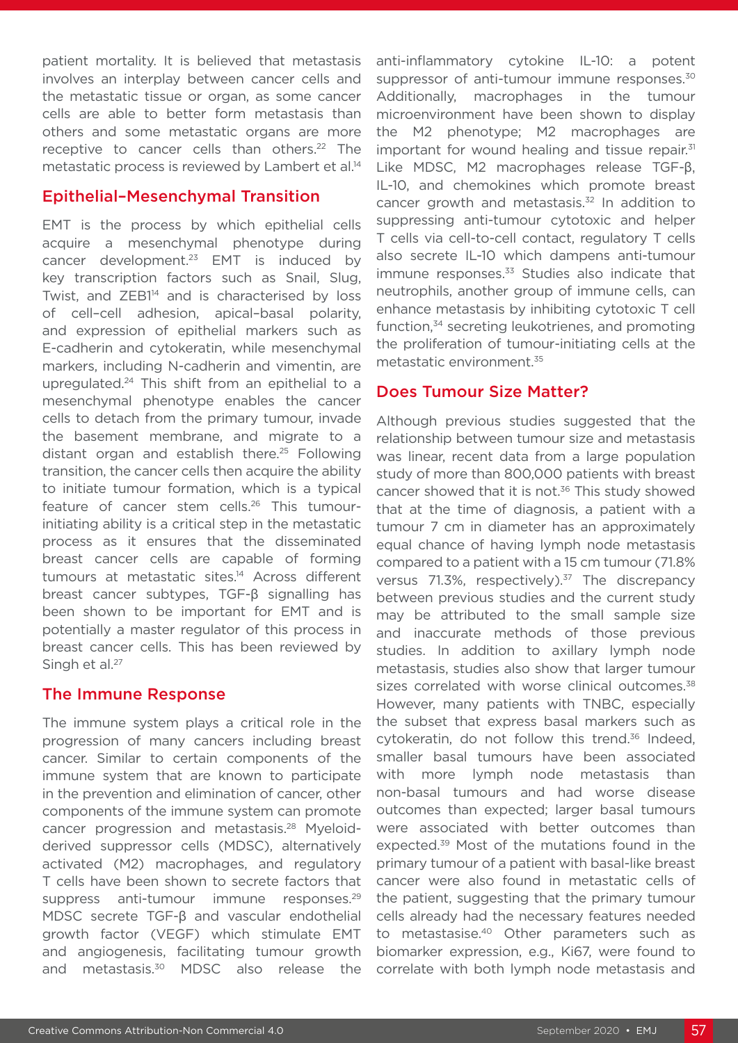patient mortality. It is believed that metastasis involves an interplay between cancer cells and the metastatic tissue or organ, as some cancer cells are able to better form metastasis than others and some metastatic organs are more receptive to cancer cells than others.<sup>22</sup> The metastatic process is reviewed by Lambert et al.<sup>14</sup>

## Epithelial–Mesenchymal Transition

EMT is the process by which epithelial cells acquire a mesenchymal phenotype during cancer development.<sup>23</sup> EMT is induced by key transcription factors such as Snail, Slug, Twist, and ZEB1<sup>14</sup> and is characterised by loss of cell–cell adhesion, apical–basal polarity, and expression of epithelial markers such as E-cadherin and cytokeratin, while mesenchymal markers, including N-cadherin and vimentin, are upregulated.24 This shift from an epithelial to a mesenchymal phenotype enables the cancer cells to detach from the primary tumour, invade the basement membrane, and migrate to a distant organ and establish there.<sup>25</sup> Following transition, the cancer cells then acquire the ability to initiate tumour formation, which is a typical feature of cancer stem cells.<sup>26</sup> This tumourinitiating ability is a critical step in the metastatic process as it ensures that the disseminated breast cancer cells are capable of forming tumours at metastatic sites.<sup>14</sup> Across different breast cancer subtypes, TGF-β signalling has been shown to be important for EMT and is potentially a master regulator of this process in breast cancer cells. This has been reviewed by Singh et al.<sup>27</sup>

# The Immune Response

The immune system plays a critical role in the progression of many cancers including breast cancer. Similar to certain components of the immune system that are known to participate in the prevention and elimination of cancer, other components of the immune system can promote cancer progression and metastasis.28 Myeloidderived suppressor cells (MDSC), alternatively activated (M2) macrophages, and regulatory T cells have been shown to secrete factors that suppress anti-tumour immune responses.<sup>29</sup> MDSC secrete TGF-β and vascular endothelial growth factor (VEGF) which stimulate EMT and angiogenesis, facilitating tumour growth and metastasis.30 MDSC also release the

anti-inflammatory cytokine IL-10: a potent suppressor of anti-tumour immune responses.<sup>30</sup> Additionally, macrophages in the tumour microenvironment have been shown to display the M2 phenotype; M2 macrophages are important for wound healing and tissue repair. $31$ Like MDSC, M2 macrophages release TGF-β, IL-10, and chemokines which promote breast cancer growth and metastasis.<sup>32</sup> In addition to suppressing anti-tumour cytotoxic and helper T cells via cell-to-cell contact, regulatory T cells also secrete IL-10 which dampens anti-tumour immune responses. $33$  Studies also indicate that neutrophils, another group of immune cells, can enhance metastasis by inhibiting cytotoxic T cell function,34 secreting leukotrienes, and promoting the proliferation of tumour-initiating cells at the metastatic environment.35

# Does Tumour Size Matter?

Although previous studies suggested that the relationship between tumour size and metastasis was linear, recent data from a large population study of more than 800,000 patients with breast cancer showed that it is not.<sup>36</sup> This study showed that at the time of diagnosis, a patient with a tumour 7 cm in diameter has an approximately equal chance of having lymph node metastasis compared to a patient with a 15 cm tumour (71.8% versus 71.3%, respectively).<sup>37</sup> The discrepancy between previous studies and the current study may be attributed to the small sample size and inaccurate methods of those previous studies. In addition to axillary lymph node metastasis, studies also show that larger tumour sizes correlated with worse clinical outcomes.<sup>38</sup> However, many patients with TNBC, especially the subset that express basal markers such as cytokeratin, do not follow this trend.<sup>36</sup> Indeed. smaller basal tumours have been associated with more lymph node metastasis than non-basal tumours and had worse disease outcomes than expected; larger basal tumours were associated with better outcomes than expected.39 Most of the mutations found in the primary tumour of a patient with basal-like breast cancer were also found in metastatic cells of the patient, suggesting that the primary tumour cells already had the necessary features needed to metastasise.<sup>40</sup> Other parameters such as biomarker expression, e.g., Ki67, were found to correlate with both lymph node metastasis and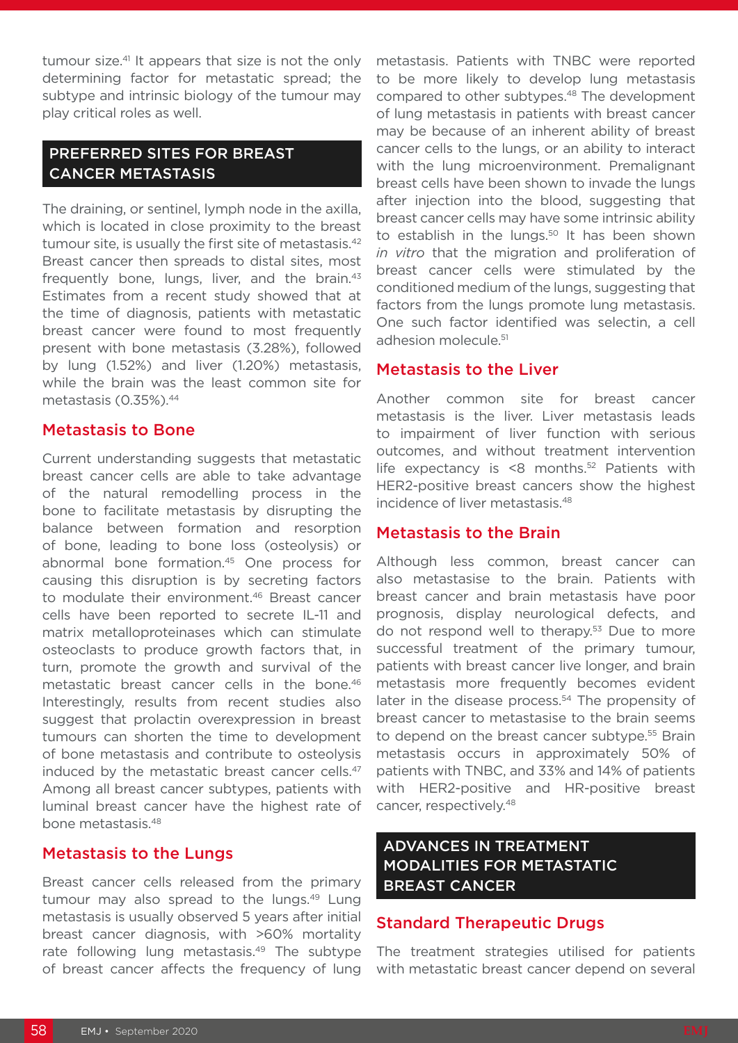tumour size.<sup>41</sup> It appears that size is not the only determining factor for metastatic spread; the subtype and intrinsic biology of the tumour may play critical roles as well.

# PREFERRED SITES FOR BREAST CANCER METASTASIS

The draining, or sentinel, lymph node in the axilla, which is located in close proximity to the breast tumour site, is usually the first site of metastasis.<sup>42</sup> Breast cancer then spreads to distal sites, most frequently bone, lungs, liver, and the brain.<sup>43</sup> Estimates from a recent study showed that at the time of diagnosis, patients with metastatic breast cancer were found to most frequently present with bone metastasis (3.28%), followed by lung (1.52%) and liver (1.20%) metastasis, while the brain was the least common site for metastasis (0.35%).44

#### Metastasis to Bone

Current understanding suggests that metastatic breast cancer cells are able to take advantage of the natural remodelling process in the bone to facilitate metastasis by disrupting the balance between formation and resorption of bone, leading to bone loss (osteolysis) or abnormal bone formation.45 One process for causing this disruption is by secreting factors to modulate their environment.<sup>46</sup> Breast cancer cells have been reported to secrete IL-11 and matrix metalloproteinases which can stimulate osteoclasts to produce growth factors that, in turn, promote the growth and survival of the metastatic breast cancer cells in the bone.<sup>46</sup> Interestingly, results from recent studies also suggest that prolactin overexpression in breast tumours can shorten the time to development of bone metastasis and contribute to osteolysis induced by the metastatic breast cancer cells.<sup>47</sup> Among all breast cancer subtypes, patients with luminal breast cancer have the highest rate of bone metastasis.48

### Metastasis to the Lungs

Breast cancer cells released from the primary tumour may also spread to the lungs.<sup>49</sup> Lung metastasis is usually observed 5 years after initial breast cancer diagnosis, with >60% mortality rate following lung metastasis.<sup>49</sup> The subtype of breast cancer affects the frequency of lung

metastasis. Patients with TNBC were reported to be more likely to develop lung metastasis compared to other subtypes.48 The development of lung metastasis in patients with breast cancer may be because of an inherent ability of breast cancer cells to the lungs, or an ability to interact with the lung microenvironment. Premalignant breast cells have been shown to invade the lungs after injection into the blood, suggesting that breast cancer cells may have some intrinsic ability to establish in the lungs.<sup>50</sup> It has been shown *in vitro* that the migration and proliferation of breast cancer cells were stimulated by the conditioned medium of the lungs, suggesting that factors from the lungs promote lung metastasis. One such factor identified was selectin, a cell adhesion molecule.<sup>51</sup>

### Metastasis to the Liver

Another common site for breast cancer metastasis is the liver. Liver metastasis leads to impairment of liver function with serious outcomes, and without treatment intervention life expectancy is  $\leq 8$  months.<sup>52</sup> Patients with HER2-positive breast cancers show the highest incidence of liver metastasis.48

#### Metastasis to the Brain

Although less common, breast cancer can also metastasise to the brain. Patients with breast cancer and brain metastasis have poor prognosis, display neurological defects, and do not respond well to therapy.<sup>53</sup> Due to more successful treatment of the primary tumour, patients with breast cancer live longer, and brain metastasis more frequently becomes evident later in the disease process.<sup>54</sup> The propensity of breast cancer to metastasise to the brain seems to depend on the breast cancer subtype.<sup>55</sup> Brain metastasis occurs in approximately 50% of patients with TNBC, and 33% and 14% of patients with HER2-positive and HR-positive breast cancer, respectively.48

# ADVANCES IN TREATMENT MODALITIES FOR METASTATIC BREAST CANCER

### Standard Therapeutic Drugs

The treatment strategies utilised for patients with metastatic breast cancer depend on several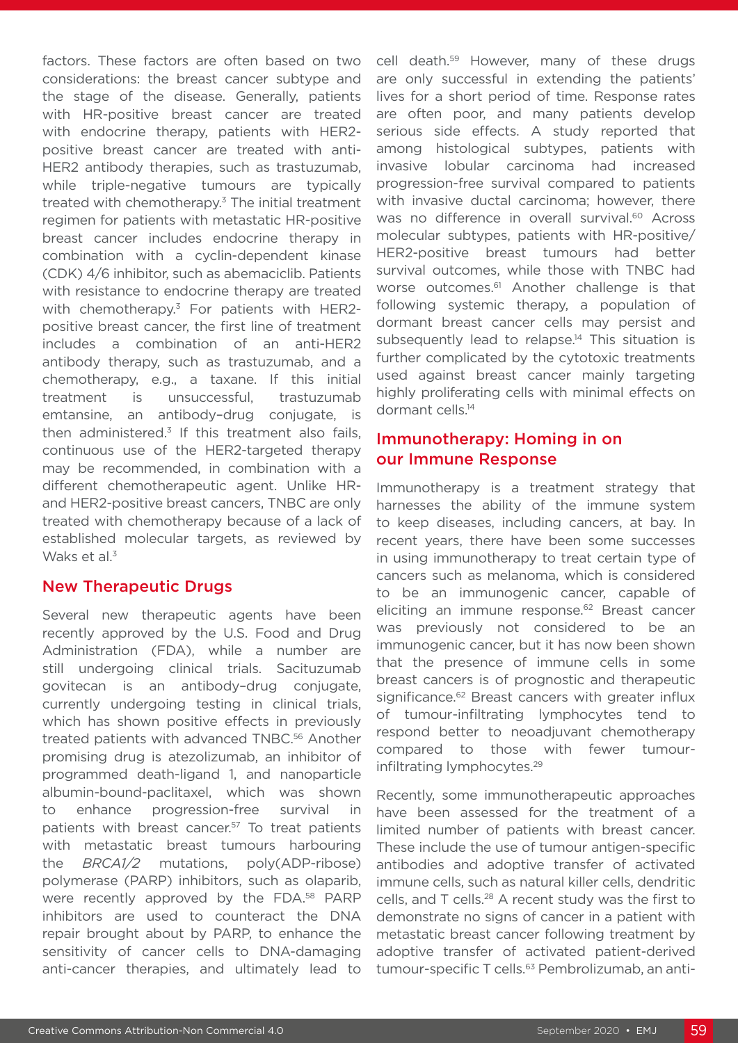factors. These factors are often based on two considerations: the breast cancer subtype and the stage of the disease. Generally, patients with HR-positive breast cancer are treated with endocrine therapy, patients with HER2 positive breast cancer are treated with anti-HER2 antibody therapies, such as trastuzumab, while triple-negative tumours are typically treated with chemotherapy.<sup>3</sup> The initial treatment regimen for patients with metastatic HR-positive breast cancer includes endocrine therapy in combination with a cyclin-dependent kinase (CDK) 4/6 inhibitor, such as abemaciclib. Patients with resistance to endocrine therapy are treated with chemotherapy.<sup>3</sup> For patients with HER2positive breast cancer, the first line of treatment includes a combination of an anti-HER2 antibody therapy, such as trastuzumab, and a chemotherapy, e.g., a taxane. If this initial treatment is unsuccessful, trastuzumab emtansine, an antibody–drug conjugate, is then administered. $3$  If this treatment also fails, continuous use of the HER2-targeted therapy may be recommended, in combination with a different chemotherapeutic agent. Unlike HRand HER2-positive breast cancers, TNBC are only treated with chemotherapy because of a lack of established molecular targets, as reviewed by Waks et al.<sup>3</sup>

# New Therapeutic Drugs

Several new therapeutic agents have been recently approved by the U.S. Food and Drug Administration (FDA), while a number are still undergoing clinical trials. Sacituzumab govitecan is an antibody–drug conjugate, currently undergoing testing in clinical trials, which has shown positive effects in previously treated patients with advanced TNBC.<sup>56</sup> Another promising drug is atezolizumab, an inhibitor of programmed death-ligand 1, and nanoparticle albumin-bound-paclitaxel, which was shown to enhance progression-free survival in patients with breast cancer.<sup>57</sup> To treat patients with metastatic breast tumours harbouring the *BRCA1/2* mutations, poly(ADP-ribose) polymerase (PARP) inhibitors, such as olaparib, were recently approved by the FDA.<sup>58</sup> PARP inhibitors are used to counteract the DNA repair brought about by PARP, to enhance the sensitivity of cancer cells to DNA-damaging anti-cancer therapies, and ultimately lead to

cell death.<sup>59</sup> However, many of these drugs are only successful in extending the patients' lives for a short period of time. Response rates are often poor, and many patients develop serious side effects. A study reported that among histological subtypes, patients with invasive lobular carcinoma had increased progression-free survival compared to patients with invasive ductal carcinoma; however, there was no difference in overall survival.<sup>60</sup> Across molecular subtypes, patients with HR-positive/ HER2-positive breast tumours had better survival outcomes, while those with TNBC had worse outcomes.<sup>61</sup> Another challenge is that following systemic therapy, a population of dormant breast cancer cells may persist and subsequently lead to relapse.<sup>14</sup> This situation is further complicated by the cytotoxic treatments used against breast cancer mainly targeting highly proliferating cells with minimal effects on dormant cells.14

# Immunotherapy: Homing in on our Immune Response

Immunotherapy is a treatment strategy that harnesses the ability of the immune system to keep diseases, including cancers, at bay. In recent years, there have been some successes in using immunotherapy to treat certain type of cancers such as melanoma, which is considered to be an immunogenic cancer, capable of eliciting an immune response.<sup>62</sup> Breast cancer was previously not considered to be an immunogenic cancer, but it has now been shown that the presence of immune cells in some breast cancers is of prognostic and therapeutic significance.<sup>62</sup> Breast cancers with greater influx of tumour-infiltrating lymphocytes tend to respond better to neoadjuvant chemotherapy compared to those with fewer tumourinfiltrating lymphocytes.<sup>29</sup>

Recently, some immunotherapeutic approaches have been assessed for the treatment of a limited number of patients with breast cancer. These include the use of tumour antigen-specific antibodies and adoptive transfer of activated immune cells, such as natural killer cells, dendritic cells, and T cells.28 A recent study was the first to demonstrate no signs of cancer in a patient with metastatic breast cancer following treatment by adoptive transfer of activated patient-derived tumour-specific T cells.<sup>63</sup> Pembrolizumab, an anti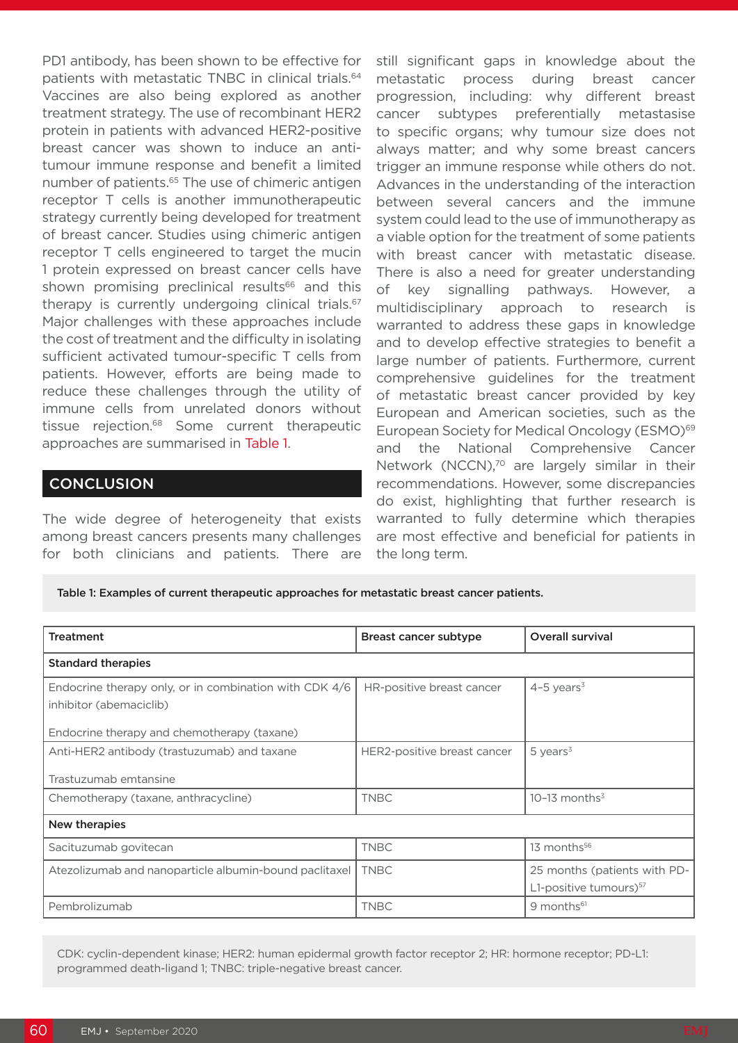PD1 antibody, has been shown to be effective for patients with metastatic TNBC in clinical trials.<sup>64</sup> Vaccines are also being explored as another treatment strategy. The use of recombinant HER2 protein in patients with advanced HER2-positive breast cancer was shown to induce an antitumour immune response and benefit a limited number of patients.<sup>65</sup> The use of chimeric antigen receptor T cells is another immunotherapeutic strategy currently being developed for treatment of breast cancer. Studies using chimeric antigen receptor T cells engineered to target the mucin 1 protein expressed on breast cancer cells have shown promising preclinical results<sup>66</sup> and this therapy is currently undergoing clinical trials.<sup>67</sup> Major challenges with these approaches include the cost of treatment and the difficulty in isolating sufficient activated tumour-specific T cells from patients. However, efforts are being made to reduce these challenges through the utility of immune cells from unrelated donors without tissue rejection.68 Some current therapeutic approaches are summarised in Table 1.

## **CONCLUSION**

The wide degree of heterogeneity that exists among breast cancers presents many challenges for both clinicians and patients. There are

still significant gaps in knowledge about the metastatic process during breast cancer progression, including: why different breast cancer subtypes preferentially metastasise to specific organs; why tumour size does not always matter; and why some breast cancers trigger an immune response while others do not. Advances in the understanding of the interaction between several cancers and the immune system could lead to the use of immunotherapy as a viable option for the treatment of some patients with breast cancer with metastatic disease. There is also a need for greater understanding of key signalling pathways. However, a multidisciplinary approach to research is warranted to address these gaps in knowledge and to develop effective strategies to benefit a large number of patients. Furthermore, current comprehensive guidelines for the treatment of metastatic breast cancer provided by key European and American societies, such as the European Society for Medical Oncology (ESMO)<sup>69</sup> and the National Comprehensive Cancer Network (NCCN),<sup>70</sup> are largely similar in their recommendations. However, some discrepancies do exist, highlighting that further research is warranted to fully determine which therapies are most effective and beneficial for patients in the long term.

#### Table 1: Examples of current therapeutic approaches for metastatic breast cancer patients.

| <b>Treatment</b>                                                                  | Breast cancer subtype       | Overall survival                   |  |
|-----------------------------------------------------------------------------------|-----------------------------|------------------------------------|--|
| <b>Standard therapies</b>                                                         |                             |                                    |  |
| Endocrine therapy only, or in combination with CDK 4/6<br>inhibitor (abemaciclib) | HR-positive breast cancer   | $4-5$ years <sup>3</sup>           |  |
| Endocrine therapy and chemotherapy (taxane)                                       |                             |                                    |  |
| Anti-HER2 antibody (trastuzumab) and taxane                                       | HER2-positive breast cancer | $5$ years <sup>3</sup>             |  |
| Trastuzumab emtansine                                                             |                             |                                    |  |
| Chemotherapy (taxane, anthracycline)                                              | <b>TNBC</b>                 | $10-13$ months <sup>3</sup>        |  |
| New therapies                                                                     |                             |                                    |  |
| Sacituzumab govitecan                                                             | <b>TNBC</b>                 | 13 months <sup>56</sup>            |  |
| Atezolizumab and nanoparticle albumin-bound paclitaxel                            | <b>TNBC</b>                 | 25 months (patients with PD-       |  |
|                                                                                   |                             | L1-positive tumours) <sup>57</sup> |  |
| Pembrolizumab                                                                     | <b>TNBC</b>                 | 9 months <sup>61</sup>             |  |

CDK: cyclin-dependent kinase; HER2: human epidermal growth factor receptor 2; HR: hormone receptor; PD-L1: programmed death-ligand 1; TNBC: triple-negative breast cancer.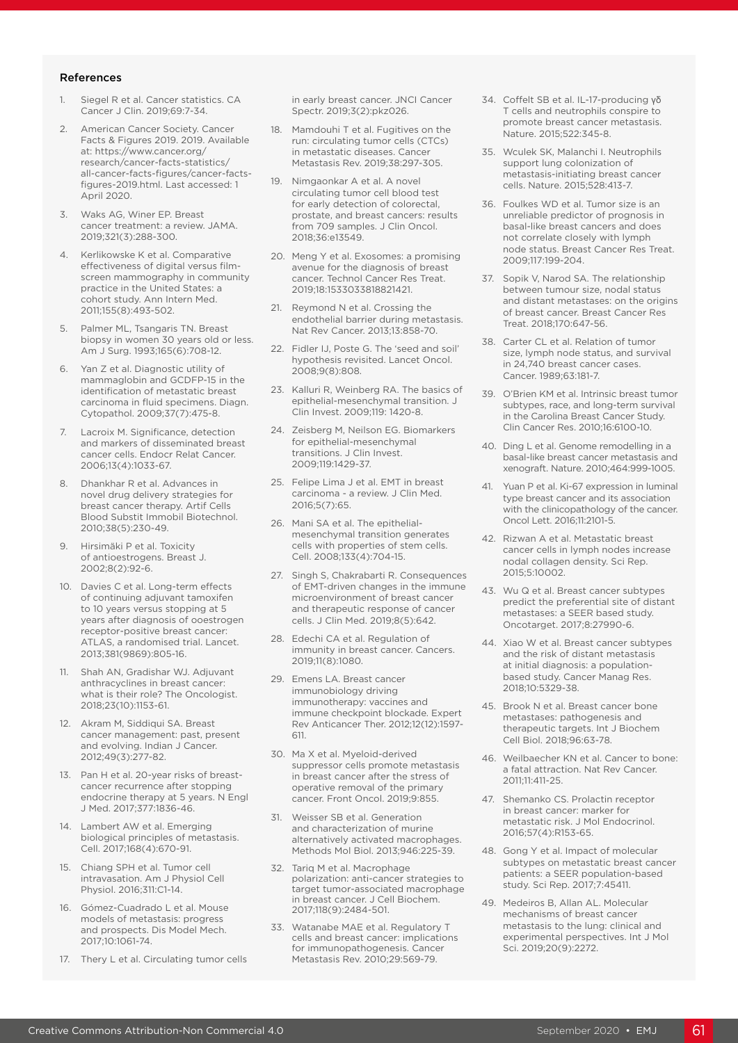#### References

- 1. Siegel R et al. Cancer statistics. CA Cancer J Clin. 2019;69:7-34.
- 2. American Cancer Society. Cancer Facts & Figures 2019. 2019. Available at: https://www.cancer.org/ research/cancer-facts-statistics/ all-cancer-facts-figures/cancer-factsfigures-2019.html. Last accessed: 1 April 2020.
- 3. Waks AG, Winer EP. Breast cancer treatment: a review. JAMA. 2019;321(3):288-300.
- 4. Kerlikowske K et al. Comparative effectiveness of digital versus filmscreen mammography in community practice in the United States: a cohort study. Ann Intern Med. 2011;155(8):493-502.
- 5. Palmer ML, Tsangaris TN. Breast biopsy in women 30 years old or less. Am J Surg. 1993;165(6):708-12.
- 6. Yan Z et al. Diagnostic utility of mammaglobin and GCDFP-15 in the identification of metastatic breast carcinoma in fluid specimens. Diagn. Cytopathol. 2009;37(7):475-8.
- 7. Lacroix M. Significance, detection and markers of disseminated breast cancer cells. Endocr Relat Cancer. 2006;13(4):1033-67.
- 8. Dhankhar R et al. Advances in novel drug delivery strategies for breast cancer therapy. Artif Cells Blood Substit Immobil Biotechnol. 2010;38(5):230-49.
- 9. Hirsimäki P et al. Toxicity of antioestrogens. Breast J. 2002;8(2):92-6.
- 10. Davies C et al. Long-term effects of continuing adjuvant tamoxifen to 10 years versus stopping at 5 years after diagnosis of ooestrogen receptor-positive breast cancer: ATLAS, a randomised trial. Lancet. 2013;381(9869):805-16.
- 11. Shah AN, Gradishar WJ. Adjuvant anthracyclines in breast cancer: what is their role? The Oncologist. 2018;23(10):1153-61.
- 12. Akram M, Siddiqui SA. Breast cancer management: past, present and evolving. Indian J Cancer. 2012;49(3):277-82.
- 13. Pan H et al. 20-year risks of breastcancer recurrence after stopping endocrine therapy at 5 years. N Engl J Med. 2017;377:1836-46.
- 14. Lambert AW et al. Emerging biological principles of metastasis. Cell. 2017;168(4):670-91.
- 15. Chiang SPH et al. Tumor cell intravasation. Am J Physiol Cell Physiol. 2016;311:C1-14.
- 16. Gómez-Cuadrado L et al. Mouse models of metastasis: progress and prospects. Dis Model Mech. 2017;10:1061-74.
- 17. Thery L et al. Circulating tumor cells

in early breast cancer. JNCI Cancer Spectr. 2019;3(2):pkz026.

- 18. Mamdouhi T et al. Fugitives on the run: circulating tumor cells (CTCs) in metastatic diseases. Cancer Metastasis Rev. 2019;38:297-305.
- 19. Nimgaonkar A et al. A novel circulating tumor cell blood test for early detection of colorectal, prostate, and breast cancers: results from 709 samples. J Clin Oncol. 2018;36:e13549.
- 20. Meng Y et al. Exosomes: a promising avenue for the diagnosis of breast cancer. Technol Cancer Res Treat. 2019;18:1533033818821421.
- 21. Reymond N et al. Crossing the endothelial barrier during metastasis. Nat Rev Cancer. 2013;13:858-70.
- 22. Fidler IJ, Poste G. The 'seed and soil' hypothesis revisited. Lancet Oncol. 2008;9(8):808.
- 23. Kalluri R, Weinberg RA. The basics of epithelial-mesenchymal transition. J Clin Invest. 2009;119: 1420-8.
- 24. Zeisberg M, Neilson EG. Biomarkers for epithelial-mesenchymal transitions. J Clin Invest. 2009;119:1429-37.
- 25. Felipe Lima J et al. EMT in breast carcinoma - a review. J Clin Med. 2016;5(7):65.
- 26. Mani SA et al. The epithelialmesenchymal transition generates cells with properties of stem cells. Cell. 2008;133(4):704-15.
- 27. Singh S, Chakrabarti R. Consequences of EMT-driven changes in the immune microenvironment of breast cancer and therapeutic response of cancer cells. J Clin Med. 2019;8(5):642.
- 28. Edechi CA et al. Regulation of immunity in breast cancer. Cancers. 2019;11(8):1080.
- 29. Emens LA. Breast cancer immunobiology driving immunotherapy: vaccines and immune checkpoint blockade. Expert Rev Anticancer Ther. 2012;12(12):1597- 611.
- 30. Ma X et al. Myeloid-derived suppressor cells promote metastasis in breast cancer after the stress of operative removal of the primary cancer. Front Oncol. 2019;9:855.
- 31. Weisser SB et al. Generation and characterization of murine alternatively activated macrophages. Methods Mol Biol. 2013;946:225-39.
- 32. Tariq M et al. Macrophage polarization: anti-cancer strategies to target tumor-associated macrophage in breast cancer. J Cell Biochem. 2017;118(9):2484-501.
- 33. Watanabe MAE et al. Regulatory T cells and breast cancer: implications for immunopathogenesis. Cancer Metastasis Rev. 2010;29:569-79.
- 34. Coffelt SB et al. IL-17-producing γδ T cells and neutrophils conspire to promote breast cancer metastasis. Nature. 2015;522:345-8.
- 35. Wculek SK, Malanchi I. Neutrophils support lung colonization of metastasis-initiating breast cancer cells. Nature. 2015;528:413-7.
- 36. Foulkes WD et al. Tumor size is an unreliable predictor of prognosis in basal-like breast cancers and does not correlate closely with lymph node status. Breast Cancer Res Treat. 2009;117:199-204.
- 37. Sopik V, Narod SA. The relationship between tumour size, nodal status and distant metastases: on the origins of breast cancer. Breast Cancer Res Treat. 2018;170:647-56.
- 38. Carter CL et al. Relation of tumor size, lymph node status, and survival in 24,740 breast cancer cases. Cancer. 1989;63:181-7.
- 39. O'Brien KM et al. Intrinsic breast tumor subtypes, race, and long-term survival in the Carolina Breast Cancer Study. Clin Cancer Res. 2010;16:6100-10.
- 40. Ding L et al. Genome remodelling in a basal-like breast cancer metastasis and xenograft. Nature. 2010;464:999-1005.
- 41. Yuan P et al. Ki-67 expression in luminal type breast cancer and its association with the clinicopathology of the cancer. Oncol Lett. 2016;11:2101-5.
- 42. Rizwan A et al. Metastatic breast cancer cells in lymph nodes increase nodal collagen density. Sci Rep. 2015;5:10002.
- 43. Wu Q et al. Breast cancer subtypes predict the preferential site of distant metastases: a SEER based study. Oncotarget. 2017;8:27990-6.
- 44. Xiao W et al. Breast cancer subtypes and the risk of distant metastasis at initial diagnosis: a populationbased study. Cancer Manag Res. 2018;10:5329-38.
- 45. Brook N et al. Breast cancer bone metastases: pathogenesis and therapeutic targets. Int J Biochem Cell Biol. 2018;96:63-78.
- 46. Weilbaecher KN et al. Cancer to bone: a fatal attraction. Nat Rev Cancer. 2011;11:411-25.
- 47. Shemanko CS. Prolactin receptor in breast cancer: marker for metastatic risk. J Mol Endocrinol. 2016;57(4):R153-65.
- 48. Gong Y et al. Impact of molecular subtypes on metastatic breast cancer patients: a SEER population-based study. Sci Rep. 2017;7:45411.
- 49. Medeiros B, Allan AL. Molecular mechanisms of breast cancer metastasis to the lung: clinical and experimental perspectives. Int J Mol Sci. 2019;20(9):2272.